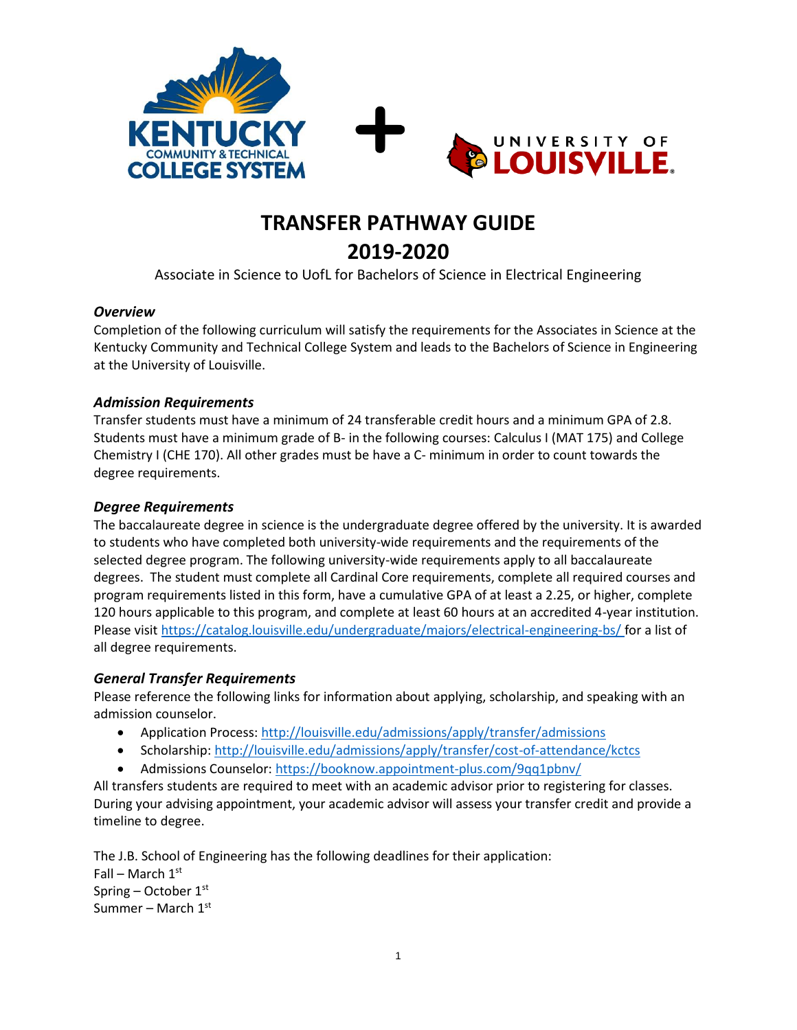



# **TRANSFER PATHWAY GUIDE 2019-2020**

Associate in Science to UofL for Bachelors of Science in Electrical Engineering

#### *Overview*

Completion of the following curriculum will satisfy the requirements for the Associates in Science at the Kentucky Community and Technical College System and leads to the Bachelors of Science in Engineering at the University of Louisville.

### *Admission Requirements*

Transfer students must have a minimum of 24 transferable credit hours and a minimum GPA of 2.8. Students must have a minimum grade of B- in the following courses: Calculus I (MAT 175) and College Chemistry I (CHE 170). All other grades must be have a C- minimum in order to count towards the degree requirements.

## *Degree Requirements*

The baccalaureate degree in science is the undergraduate degree offered by the university. It is awarded to students who have completed both university-wide requirements and the requirements of the selected degree program. The following university-wide requirements apply to all baccalaureate degrees. The student must complete all Cardinal Core requirements, complete all required courses and program requirements listed in this form, have a cumulative GPA of at least a 2.25, or higher, complete 120 hours applicable to this program, and complete at least 60 hours at an accredited 4-year institution. Please visi[t https://catalog.louisville.edu/undergraduate/majors/electrical-engineering-bs/](https://catalog.louisville.edu/undergraduate/majors/electrical-engineering-bs/) for a list of all degree requirements.

### *General Transfer Requirements*

Please reference the following links for information about applying, scholarship, and speaking with an admission counselor.

- Application Process[: http://louisville.edu/admissions/apply/transfer/admissions](http://louisville.edu/admissions/apply/transfer/admissions)
- Scholarship[: http://louisville.edu/admissions/apply/transfer/cost-of-attendance/kctcs](http://louisville.edu/admissions/apply/transfer/cost-of-attendance/kctcs)
- Admissions Counselor[: https://booknow.appointment-plus.com/9qq1pbnv/](https://booknow.appointment-plus.com/9qq1pbnv/)

All transfers students are required to meet with an academic advisor prior to registering for classes. During your advising appointment, your academic advisor will assess your transfer credit and provide a timeline to degree.

The J.B. School of Engineering has the following deadlines for their application: Fall – March  $1<sup>st</sup>$ Spring – October  $1<sup>st</sup>$ Summer – March 1st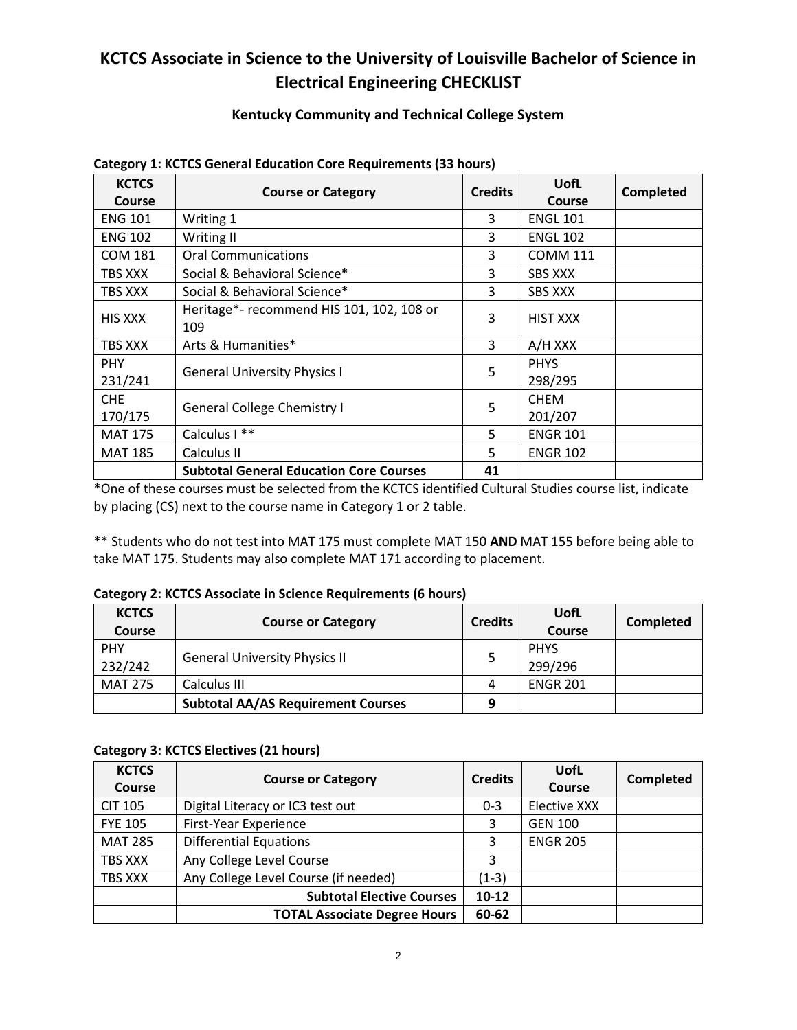# **KCTCS Associate in Science to the University of Louisville Bachelor of Science in Electrical Engineering CHECKLIST**

## **Kentucky Community and Technical College System**

| <b>KCTCS</b><br>Course | <b>Course or Category</b>                        | <b>Credits</b> | <b>UofL</b><br>Course  | Completed |
|------------------------|--------------------------------------------------|----------------|------------------------|-----------|
| <b>ENG 101</b>         | Writing 1                                        | 3              | <b>ENGL 101</b>        |           |
| <b>ENG 102</b>         | Writing II                                       | 3              | <b>ENGL 102</b>        |           |
| <b>COM 181</b>         | <b>Oral Communications</b>                       | 3              | <b>COMM 111</b>        |           |
| TBS XXX                | Social & Behavioral Science*                     | 3              | <b>SBS XXX</b>         |           |
| TBS XXX                | Social & Behavioral Science*                     | 3              | <b>SBS XXX</b>         |           |
| <b>HIS XXX</b>         | Heritage*- recommend HIS 101, 102, 108 or<br>109 | 3              | <b>HIST XXX</b>        |           |
| TBS XXX                | Arts & Humanities*                               | 3              | A/H XXX                |           |
| <b>PHY</b><br>231/241  | <b>General University Physics I</b>              | 5              | <b>PHYS</b><br>298/295 |           |
| CHE<br>170/175         | <b>General College Chemistry I</b>               | 5              | <b>CHEM</b><br>201/207 |           |
| <b>MAT 175</b>         | Calculus I **                                    | 5              | <b>ENGR 101</b>        |           |
| <b>MAT 185</b>         | Calculus II                                      | 5              | <b>ENGR 102</b>        |           |
|                        | <b>Subtotal General Education Core Courses</b>   | 41             |                        |           |

#### **Category 1: KCTCS General Education Core Requirements (33 hours)**

\*One of these courses must be selected from the KCTCS identified Cultural Studies course list, indicate by placing (CS) next to the course name in Category 1 or 2 table.

\*\* Students who do not test into MAT 175 must complete MAT 150 **AND** MAT 155 before being able to take MAT 175. Students may also complete MAT 171 according to placement.

#### **Category 2: KCTCS Associate in Science Requirements (6 hours)**

| <b>KCTCS</b><br><b>Course</b> | <b>Course or Category</b>                 | <b>Credits</b> | UofL<br>Course         | Completed |
|-------------------------------|-------------------------------------------|----------------|------------------------|-----------|
| <b>PHY</b><br>232/242         | <b>General University Physics II</b>      |                | <b>PHYS</b><br>299/296 |           |
| MAT 275                       | Calculus III                              | 4              | <b>ENGR 201</b>        |           |
|                               | <b>Subtotal AA/AS Requirement Courses</b> | 9              |                        |           |

#### **Category 3: KCTCS Electives (21 hours)**

| <b>KCTCS</b><br>Course | <b>Course or Category</b>            | <b>Credits</b> | UofL<br>Course      | <b>Completed</b> |
|------------------------|--------------------------------------|----------------|---------------------|------------------|
| <b>CIT 105</b>         | Digital Literacy or IC3 test out     | $0 - 3$        | <b>Elective XXX</b> |                  |
| <b>FYE 105</b>         | First-Year Experience                | 3              | <b>GEN 100</b>      |                  |
| <b>MAT 285</b>         | <b>Differential Equations</b>        | 3              | <b>ENGR 205</b>     |                  |
| TBS XXX                | Any College Level Course             | 3              |                     |                  |
| TBS XXX                | Any College Level Course (if needed) | $(1-3)$        |                     |                  |
|                        | <b>Subtotal Elective Courses</b>     | $10 - 12$      |                     |                  |
|                        | <b>TOTAL Associate Degree Hours</b>  | 60-62          |                     |                  |